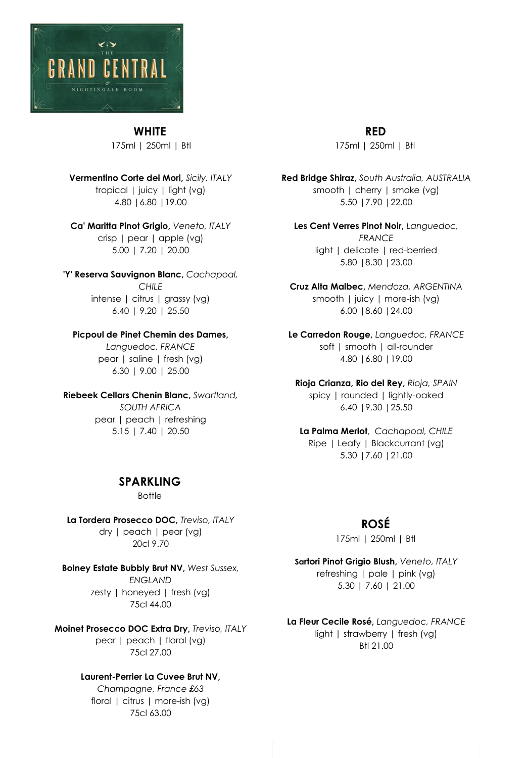

#### **WHITE**

175ml | 250ml | Btl

**Vermentino Corte dei Mori,** *Sicily, ITALY* tropical | juicy | light (vg) 4.80 |6.80 |19.00

**Ca' Maritta Pinot Grigio,** *Veneto, ITALY* crisp | pear | apple (vg) 5.00 | 7.20 | 20.00

**'Y' Reserva Sauvignon Blanc,** *Cachapoal, CHILE* intense | citrus | grassy (vg) 6.40 | 9.20 | 25.50

#### **Picpoul de Pinet Chemin des Dames,**

*Languedoc, FRANCE* pear | saline | fresh (vg) 6.30 | 9.00 | 25.00

**Riebeek Cellars Chenin Blanc,** *Swartland, SOUTH AFRICA* pear | peach | refreshing

5.15 | 7.40 | 20.50

#### **SPARKLING**

Bottle

**La Tordera Prosecco DOC,** *Treviso, ITALY* dry | peach | pear (vg) 20cl 9.70

**Bolney Estate Bubbly Brut NV,** *West Sussex, ENGLAND* zesty | honeyed | fresh (vg) 75cl 44.00

**Moinet Prosecco DOC Extra Dry,** *Treviso, ITALY* pear | peach | floral (vg) 75cl 27.00

#### **Laurent-Perrier La Cuvee Brut NV,**

*Champagne, France £63* floral | citrus | more-ish (vg) 75cl 63.00

**RED** 175ml | 250ml | Btl

**Red Bridge Shiraz,** *South Australia, AUSTRALIA* smooth | cherry | smoke (vg) 5.50 |7.90 |22.00

**Les Cent Verres Pinot Noir,** *Languedoc, FRANCE* light | delicate | red-berried 5.80 |8.30 |23.00

**Cruz Alta Malbec,** *Mendoza, ARGENTINA* smooth | juicy | more-ish (vg) 6.00 |8.60 |24.00

**Le Carredon Rouge,** *Languedoc, FRANCE* soft | smooth | all-rounder 4.80 |6.80 |19.00

**Rioja Crianza, Rio del Rey,** *Rioja, SPAIN* spicy | rounded | lightly-oaked 6.40 |9.30 |25.50

**La Palma Merlot**, *Cachapoal, CHILE* Ripe | Leafy | Blackcurrant (vg) 5.30 |7.60 |21.00

# **ROSÉ**

175ml | 250ml | Btl

**Sartori Pinot Grigio Blush,** *Veneto, ITALY* refreshing | pale | pink (vg) 5.30 | 7.60 | 21.00

**La Fleur Cecile Rosé,** *Languedoc, FRANCE* light | strawberry | fresh (vg) Btl 21.00